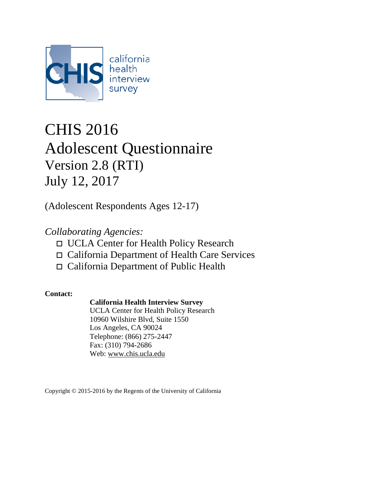

# CHIS 2016 Adolescent Questionnaire Version 2.8 (RTI) July 12, 2017

(Adolescent Respondents Ages 12-17)

## *Collaborating Agencies:*

- UCLA Center for Health Policy Research
- California Department of Health Care Services
- California Department of Public Health

### **Contact:**

### **California Health Interview Survey**

UCLA Center for Health Policy Research 10960 Wilshire Blvd, Suite 1550 Los Angeles, CA 90024 Telephone: (866) 275-2447 Fax: (310) 794-2686 Web: [www.chis.ucla.edu](http://www.chis.ucla.edu/)

Copyright © 2015-2016 by the Regents of the University of California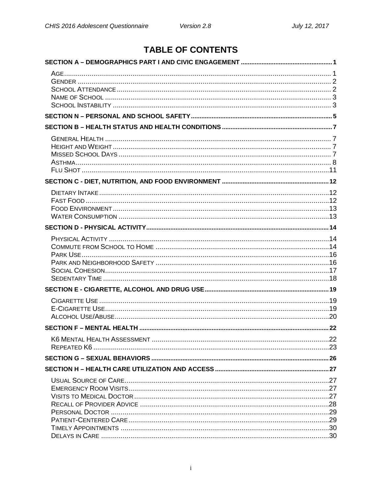## **TABLE OF CONTENTS**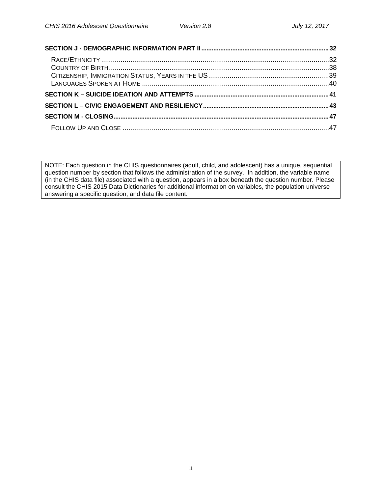NOTE: Each question in the CHIS questionnaires (adult, child, and adolescent) has a unique, sequential question number by section that follows the administration of the survey. In addition, the variable name (in the CHIS data file) associated with a question, appears in a box beneath the question number. Please consult the CHIS 2015 Data Dictionaries for additional information on variables, the population universe answering a specific question, and data file content.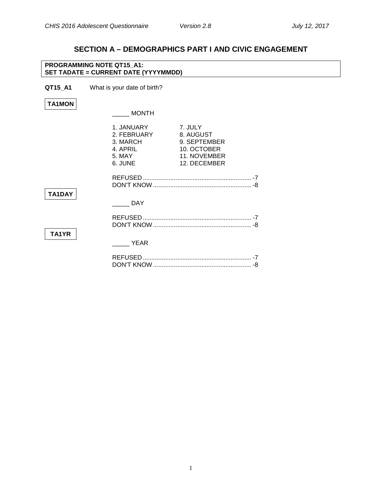## **SECTION A – DEMOGRAPHICS PART I AND CIVIC ENGAGEMENT**

<span id="page-3-1"></span><span id="page-3-0"></span>

|               | <b>PROGRAMMING NOTE QT15 A1:</b><br>SET TADATE = CURRENT DATE (YYYYMMDD) |                                                                                     |  |
|---------------|--------------------------------------------------------------------------|-------------------------------------------------------------------------------------|--|
| QT15_A1       | What is your date of birth?                                              |                                                                                     |  |
| <b>TA1MON</b> |                                                                          |                                                                                     |  |
|               | <b>MONTH</b>                                                             |                                                                                     |  |
|               | 1. JANUARY<br>2. FEBRUARY<br>3. MARCH<br>4. APRIL<br>5. MAY<br>6. JUNE   | 7. JULY<br>8. AUGUST<br>9. SEPTEMBER<br>10. OCTOBER<br>11. NOVEMBER<br>12. DECEMBER |  |
|               |                                                                          |                                                                                     |  |
| TA1DAY        | <b>DAY</b>                                                               |                                                                                     |  |
| TA1YR         |                                                                          |                                                                                     |  |
|               | <b>YEAR</b>                                                              |                                                                                     |  |
|               |                                                                          |                                                                                     |  |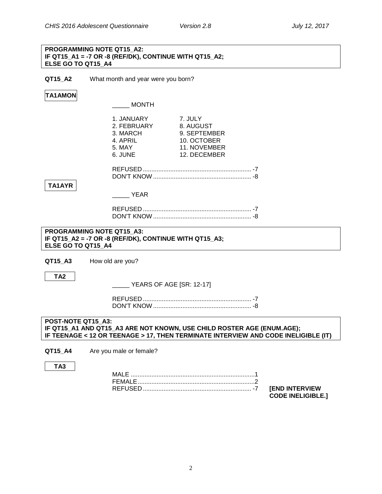#### **PROGRAMMING NOTE QT15\_A2: IF QT15\_A1 = -7 OR -8 (REF/DK), CONTINUE WITH QT15\_A2; ELSE GO TO QT15\_A4**

**QT15\_A2** What month and year were you born?

### **TA1AMON**

\_\_\_\_\_ MONTH

|                                                 | 1. JANUARY<br>2. FEBRUARY<br>3. MARCH<br>4. APRIL<br>5. MAY | 7. JULY<br>8. AUGUST<br>9. SEPTEMBER<br>10. OCTOBER<br>11. NOVEMBER                                                                                          |  |
|-------------------------------------------------|-------------------------------------------------------------|--------------------------------------------------------------------------------------------------------------------------------------------------------------|--|
|                                                 | 6. JUNE                                                     | 12. DECEMBER                                                                                                                                                 |  |
| TA1AYR                                          |                                                             |                                                                                                                                                              |  |
|                                                 | <b>EXAMPLE YEAR</b>                                         |                                                                                                                                                              |  |
|                                                 |                                                             |                                                                                                                                                              |  |
| PROGRAMMING NOTE QT15 A3:<br>ELSE GO TO QT15 A4 | IF QT15_A2 = -7 OR -8 (REF/DK), CONTINUE WITH QT15_A3;      |                                                                                                                                                              |  |
| QT15 A3                                         | How old are you?                                            |                                                                                                                                                              |  |
| TA <sub>2</sub>                                 | $\frac{1}{2}$ YEARS OF AGE [SR: 12-17]                      |                                                                                                                                                              |  |
|                                                 |                                                             |                                                                                                                                                              |  |
| POST-NOTE QT15 A3:                              |                                                             | IF QT15_A1 AND QT15_A3 ARE NOT KNOWN, USE CHILD ROSTER AGE (ENUM.AGE);<br>IF TEENAGE < 12 OR TEENAGE > 17, THEN TERMINATE INTERVIEW AND CODE INELIGIBLE (IT) |  |
| QT15 A4                                         | Are you male or female?                                     |                                                                                                                                                              |  |
| TA <sub>3</sub>                                 |                                                             |                                                                                                                                                              |  |
|                                                 |                                                             |                                                                                                                                                              |  |

<span id="page-4-1"></span><span id="page-4-0"></span>REFUSED ............................................................... -7 **[END INTERVIEW CODE INELIGIBLE.]**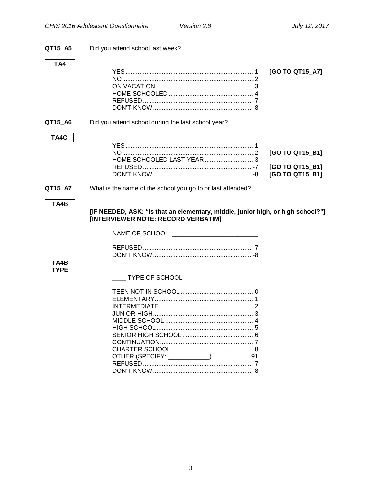Did you attend school last week? QT15\_A5

#### TA4

#### QT15\_A6 Did you attend school during the last school year?

#### TA4C

| HOME SCHOOLED LAST YEAR 3 |  |
|---------------------------|--|
|                           |  |

#### <span id="page-5-0"></span>QT15\_A7 What is the name of the school you go to or last attended?

#### TA4B

[IF NEEDED, ASK: "Is that an elementary, middle, junior high, or high school?"] [INTERVIEWER NOTE: RECORD VERBATIM]

NAME OF SCHOOL \_\_\_\_\_\_\_\_\_\_\_\_\_\_\_\_\_

#### TA4B **TYPE**

**IMPE OF SCHOOL** 

<span id="page-5-1"></span>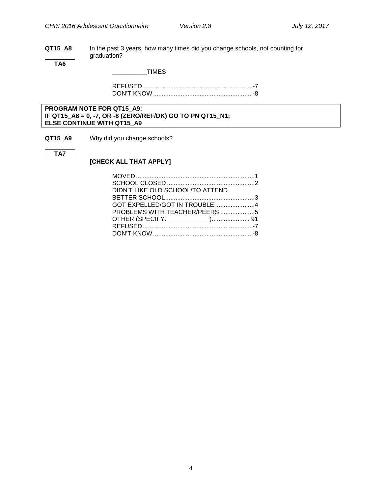**QT15\_A8** In the past 3 years, how many times did you change schools, not counting for graduation?

**TA6**

 $\_$ TIMES

REFUSED ............................................................... -7 DON'T KNOW......................................................... -8

#### **PROGRAM NOTE FOR QT15\_A9: IF QT15\_A8 = 0, -7, OR -8 (ZERO/REF/DK) GO TO PN QT15\_N1; ELSE CONTINUE WITH QT15\_A9**

**QT15\_A9** Why did you change schools?

#### **TA7**

### **[CHECK ALL THAT APPLY]**

| DIDN'T LIKE OLD SCHOOL/TO ATTEND |  |
|----------------------------------|--|
|                                  |  |
| GOT EXPELLED/GOT IN TROUBLE 4    |  |
| PROBLEMS WITH TEACHER/PEERS 5    |  |
|                                  |  |
|                                  |  |
|                                  |  |
|                                  |  |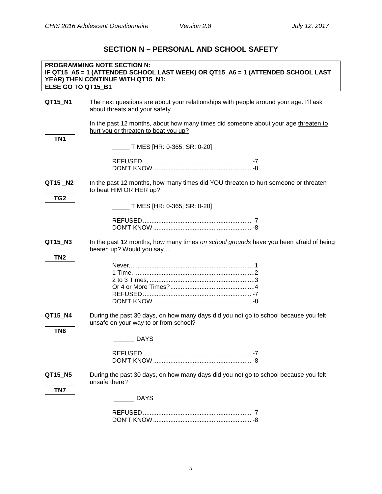### **SECTION N – PERSONAL AND SCHOOL SAFETY**

<span id="page-7-0"></span>

| ELSE GO TO QT15 B1         | <b>PROGRAMMING NOTE SECTION N:</b><br>IF QT15_A5 = 1 (ATTENDED SCHOOL LAST WEEK) OR QT15_A6 = 1 (ATTENDED SCHOOL LAST<br>YEAR) THEN CONTINUE WITH QT15_N1;      |
|----------------------------|-----------------------------------------------------------------------------------------------------------------------------------------------------------------|
| QT15_N1                    | The next questions are about your relationships with people around your age. I'll ask<br>about threats and your safety.                                         |
| TN <sub>1</sub>            | In the past 12 months, about how many times did someone about your age threaten to<br>hurt you or threaten to beat you up?<br>_____ TIMES [HR: 0-365; SR: 0-20] |
|                            |                                                                                                                                                                 |
| QT15_N2<br>TG <sub>2</sub> | In the past 12 months, how many times did YOU threaten to hurt someone or threaten<br>to beat HIM OR HER up?                                                    |
|                            | _ TIMES [HR: 0-365; SR: 0-20]                                                                                                                                   |
| QT15_N3<br>TN <sub>2</sub> | In the past 12 months, how many times on school grounds have you been afraid of being<br>beaten up? Would you say                                               |
|                            |                                                                                                                                                                 |
| QT15_N4<br>TN <sub>6</sub> | During the past 30 days, on how many days did you not go to school because you felt<br>unsafe on your way to or from school?                                    |
|                            | <b>DAYS</b>                                                                                                                                                     |
| QT15 N5<br>TN7             | During the past 30 days, on how many days did you not go to school because you felt<br>unsafe there?                                                            |
|                            | <b>DAYS</b>                                                                                                                                                     |
|                            |                                                                                                                                                                 |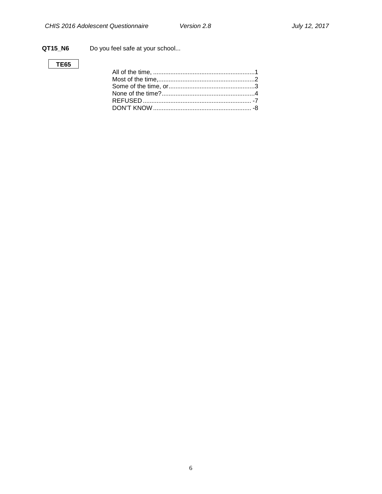### **QT15\_N6** Do you feel safe at your school...

### **TE65**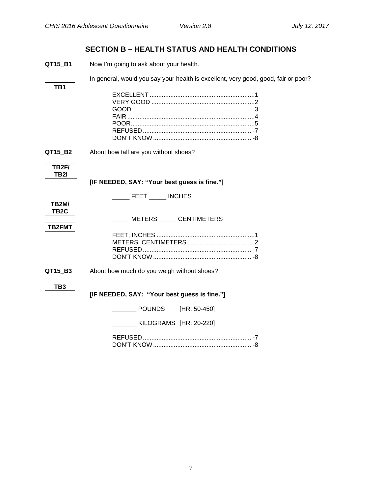### **SECTION B – HEALTH STATUS AND HEALTH CONDITIONS**

<span id="page-9-1"></span><span id="page-9-0"></span>**QT15\_B1** Now I'm going to ask about your health.

In general, would you say your health is excellent, very good, good, fair or poor?

|--|

<span id="page-9-2"></span>**QT15\_B2** About how tall are you without shoes?

| TB2F/<br>TB2I |  |
|---------------|--|
|               |  |
| TR2M/         |  |

**[IF NEEDED, SAY: "Your best guess is fine."]**

**TB2M/ TB2C** \_\_\_\_\_ FEET \_\_\_\_\_ INCHES

\_\_\_\_\_ METERS \_\_\_\_\_ CENTIMETERS

**TB2FMT**

**QT15\_B3** About how much do you weigh without shoes?

<span id="page-9-3"></span>**TB3**

**[IF NEEDED, SAY: "Your best guess is fine."]**

\_\_\_\_\_\_\_ POUNDS [HR: 50-450]

| KILOGRAMS [HR: 20-220] |  |
|------------------------|--|
|------------------------|--|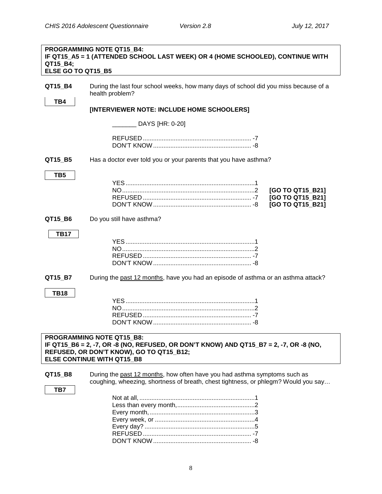<span id="page-10-0"></span>

| QT15_B4;<br>ELSE GO TO QT15 B5 | <b>PROGRAMMING NOTE QT15 B4:</b><br>IF QT15_A5 = 1 (ATTENDED SCHOOL LAST WEEK) OR 4 (HOME SCHOOLED), CONTINUE WITH                                                                                          |
|--------------------------------|-------------------------------------------------------------------------------------------------------------------------------------------------------------------------------------------------------------|
| QT15_B4<br>TB4                 | During the last four school weeks, how many days of school did you miss because of a<br>health problem?                                                                                                     |
|                                | [INTERVIEWER NOTE: INCLUDE HOME SCHOOLERS]                                                                                                                                                                  |
|                                | DAYS [HR: 0-20]                                                                                                                                                                                             |
|                                |                                                                                                                                                                                                             |
| QT15_B5                        | Has a doctor ever told you or your parents that you have asthma?                                                                                                                                            |
| TB <sub>5</sub>                | [GO TO QT15_B21]<br>[GO TO QT15_B21]<br>[GO TO QT15_B21]                                                                                                                                                    |
| QT15_B6                        | Do you still have asthma?                                                                                                                                                                                   |
| <b>TB17</b>                    |                                                                                                                                                                                                             |
| QT15_B7                        | During the past 12 months, have you had an episode of asthma or an asthma attack?                                                                                                                           |
| <b>TB18</b>                    |                                                                                                                                                                                                             |
|                                | <b>PROGRAMMING NOTE QT15 B8:</b><br>IF QT15_B6 = 2, -7, OR -8 (NO, REFUSED, OR DON'T KNOW) AND QT15_B7 = 2, -7, OR -8 (NO,<br>REFUSED, OR DON'T KNOW), GO TO QT15_B12;<br><b>ELSE CONTINUE WITH QT15 B8</b> |
| QT15_B8<br>TB7                 | During the past 12 months, how often have you had asthma symptoms such as<br>coughing, wheezing, shortness of breath, chest tightness, or phlegm? Would you say                                             |
|                                |                                                                                                                                                                                                             |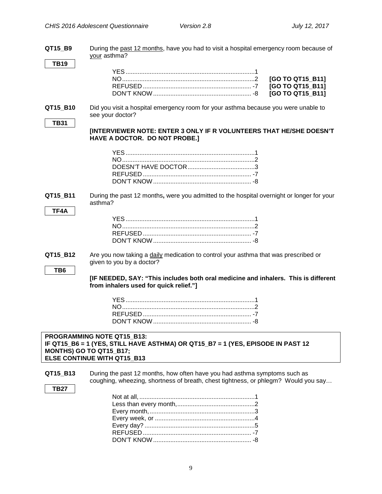| QT15 B9                     | During the past 12 months, have you had to visit a hospital emergency room because of<br>your asthma?                                                                          |
|-----------------------------|--------------------------------------------------------------------------------------------------------------------------------------------------------------------------------|
| <b>TB19</b>                 | [GO TO QT15_B11]<br>[GO TO QT15_B11]<br>[GO TO QT15_B11]                                                                                                                       |
| QT15 B10<br><b>TB31</b>     | Did you visit a hospital emergency room for your asthma because you were unable to<br>see your doctor?                                                                         |
|                             | [INTERVIEWER NOTE: ENTER 3 ONLY IF R VOLUNTEERS THAT HE/SHE DOESN'T<br>HAVE A DOCTOR. DO NOT PROBE.]                                                                           |
|                             |                                                                                                                                                                                |
| QT15 B11                    | During the past 12 months, were you admitted to the hospital overnight or longer for your<br>asthma?                                                                           |
| TF4A                        |                                                                                                                                                                                |
| QT15_B12<br>TB <sub>6</sub> | Are you now taking a daily medication to control your asthma that was prescribed or<br>given to you by a doctor?                                                               |
|                             | [IF NEEDED, SAY: "This includes both oral medicine and inhalers. This is different<br>from inhalers used for quick relief."]                                                   |
|                             |                                                                                                                                                                                |
|                             | PROGRAMMING NOTE QT15_B13:<br>IF QT15_B6 = 1 (YES, STILL HAVE ASTHMA) OR QT15_B7 = 1 (YES, EPISODE IN PAST 12<br>MONTHS) GO TO QT15_B17;<br><b>ELSE CONTINUE WITH QT15 B13</b> |
| QT15_B13                    | During the past 12 months, how often have you had asthma symptoms such as<br>coughing, wheezing, shortness of breath, chest tightness, or phlegm? Would you say                |
| <b>TB27</b>                 |                                                                                                                                                                                |

REFUSED ............................................................... -7 DON'T KNOW......................................................... -8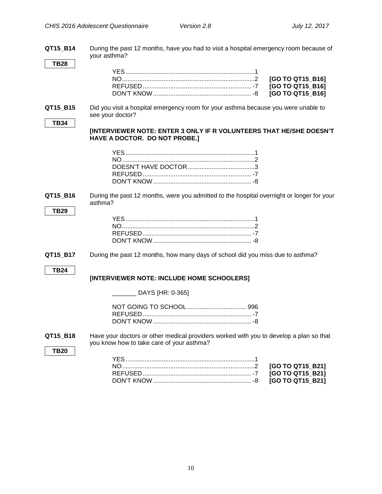**QT15\_B14** During the past 12 months, have you had to visit a hospital emergency room because of your asthma?

**QT15\_B15** Did you visit a hospital emergency room for your asthma because you were unable to see your doctor?

**TB34**

**[INTERVIEWER NOTE: ENTER 3 ONLY IF R VOLUNTEERS THAT HE/SHE DOESN'T HAVE A DOCTOR. DO NOT PROBE.]**

**QT15\_B16** During the past 12 months, were you admitted to the hospital overnight or longer for your asthma?

#### **TB29**

**QT15 B17** During the past 12 months, how many days of school did you miss due to asthma?

#### **TB24**

#### **[INTERVIEWER NOTE: INCLUDE HOME SCHOOLERS]**

\_\_\_\_\_\_\_ DAYS [HR: 0-365]

**QT15\_B18** Have your doctors or other medical providers worked with you to develop a plan so that you know how to take care of your asthma?

**TB20**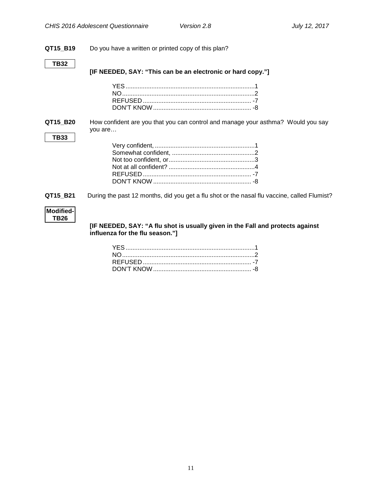### **QT15\_B19** Do you have a written or printed copy of this plan?

#### **TB32**

**TB33**

**[IF NEEDED, SAY: "This can be an electronic or hard copy."]**

**QT15\_B20** How confident are you that you can control and manage your asthma? Would you say you are…

<span id="page-13-0"></span>**QT15\_B21** During the past 12 months, did you get a flu shot or the nasal flu vaccine, called Flumist?

#### **Modified-TB26**

**[IF NEEDED, SAY: "A flu shot is usually given in the Fall and protects against influenza for the flu season."]**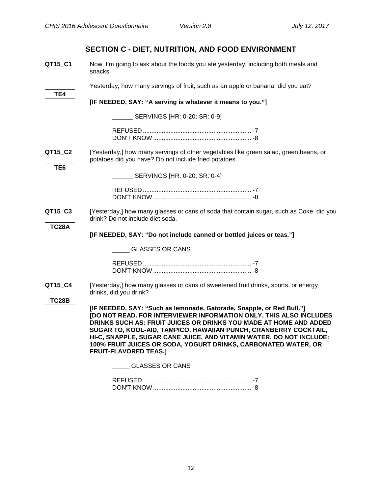<span id="page-14-2"></span><span id="page-14-1"></span><span id="page-14-0"></span>

|                            | SECTION C - DIET, NUTRITION, AND FOOD ENVIRONMENT                                                                                                                                                                                                                                                                                                                                                                                                             |  |
|----------------------------|---------------------------------------------------------------------------------------------------------------------------------------------------------------------------------------------------------------------------------------------------------------------------------------------------------------------------------------------------------------------------------------------------------------------------------------------------------------|--|
| QT15_C1                    | Now, I'm going to ask about the foods you ate yesterday, including both meals and<br>snacks.                                                                                                                                                                                                                                                                                                                                                                  |  |
| TE4                        | Yesterday, how many servings of fruit, such as an apple or banana, did you eat?                                                                                                                                                                                                                                                                                                                                                                               |  |
|                            | [IF NEEDED, SAY: "A serving is whatever it means to you."]                                                                                                                                                                                                                                                                                                                                                                                                    |  |
|                            | SERVINGS [HR: 0-20; SR: 0-9]                                                                                                                                                                                                                                                                                                                                                                                                                                  |  |
|                            |                                                                                                                                                                                                                                                                                                                                                                                                                                                               |  |
| QT15_C2<br>TE <sub>6</sub> | [Yesterday,] how many servings of other vegetables like green salad, green beans, or<br>potatoes did you have? Do not include fried potatoes.                                                                                                                                                                                                                                                                                                                 |  |
|                            | ___ SERVINGS [HR: 0-20; SR: 0-4]                                                                                                                                                                                                                                                                                                                                                                                                                              |  |
|                            |                                                                                                                                                                                                                                                                                                                                                                                                                                                               |  |
| QT15_C3                    | [Yesterday,] how many glasses or cans of soda that contain sugar, such as Coke, did you<br>drink? Do not include diet soda.                                                                                                                                                                                                                                                                                                                                   |  |
| <b>TC28A</b>               | [IF NEEDED, SAY: "Do not include canned or bottled juices or teas."]                                                                                                                                                                                                                                                                                                                                                                                          |  |
|                            | <b>GLASSES OR CANS</b>                                                                                                                                                                                                                                                                                                                                                                                                                                        |  |
|                            |                                                                                                                                                                                                                                                                                                                                                                                                                                                               |  |
| QT15_C4                    | [Yesterday,] how many glasses or cans of sweetened fruit drinks, sports, or energy<br>drinks, did you drink?                                                                                                                                                                                                                                                                                                                                                  |  |
| <b>TC28B</b>               | [IF NEEDED, SAY: "Such as lemonade, Gatorade, Snapple, or Red Bull."]<br>[DO NOT READ. FOR INTERVIEWER INFORMATION ONLY. THIS ALSO INCLUDES<br>DRINKS SUCH AS: FRUIT JUICES OR DRINKS YOU MADE AT HOME AND ADDED<br>SUGAR TO, KOOL-AID, TAMPICO, HAWAIIAN PUNCH, CRANBERRY COCKTAIL,<br>HI-C, SNAPPLE, SUGAR CANE JUICE, AND VITAMIN WATER. DO NOT INCLUDE:<br>100% FRUIT JUICES OR SODA, YOGURT DRINKS, CARBONATED WATER, OR<br><b>FRUIT-FLAVORED TEAS.1</b> |  |
|                            | <b>GLASSES OR CANS</b>                                                                                                                                                                                                                                                                                                                                                                                                                                        |  |
|                            |                                                                                                                                                                                                                                                                                                                                                                                                                                                               |  |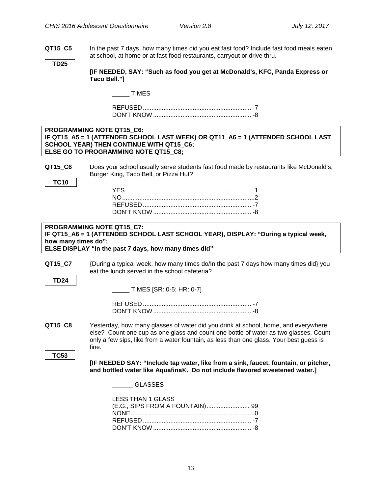**QT15\_C5** In the past 7 days, how many times did you eat fast food? Include fast food meals eaten at school, at home or at fast-food restaurants, carryout or drive thru.

**TD25**

<span id="page-15-0"></span>**Food Environment**

**[IF NEEDED, SAY: "Such as food you get at McDonald's, KFC, Panda Express or Taco Bell."]**

\_\_\_\_\_ TIMES

REFUSED ............................................................... -7 DON'T KNOW ......................................................... -8

#### **PROGRAMMING NOTE QT15\_C6: IF QT15\_A5 = 1 (ATTENDED SCHOOL LAST WEEK) OR QT11\_A6 = 1 (ATTENDED SCHOOL LAST SCHOOL YEAR) THEN CONTINUE WITH QT15\_C6; ELSE GO TO PROGRAMMING NOTE QT15\_C8;**

**QT15 C6** Does your school usually serve students fast food made by restaurants like McDonald's, Burger King, Taco Bell, or Pizza Hut?

**TC10**

#### **PROGRAMMING NOTE QT15\_C7: IF QT15\_A6 = 1 (ATTENDED SCHOOL LAST SCHOOL YEAR), DISPLAY: "During a typical week, how many times do"; ELSE DISPLAY "In the past 7 days, how many times did"**

**QT15\_C7** {During a typical week, how many times do/In the past 7 days how many times did} you eat the lunch served in the school cafeteria?

**TD24**

\_\_\_\_\_ TIMES [SR: 0-5; HR: 0-7]

<span id="page-15-1"></span>**QT15\_C8** Yesterday, how many glasses of water did you drink at school, home, and everywhere else? Count one cup as one glass and count one bottle of water as two glasses. Count only a few sips, like from a water fountain, as less than one glass. Your best guess is fine.

**TC53**

**[IF NEEDED SAY: "Include tap water, like from a sink, faucet, fountain, or pitcher, and bottled water like Aquafina®. Do not include flavored sweetened water.]**

**\_\_\_\_\_\_** GLASSES

| <b>LESS THAN 1 GLASS</b> |  |
|--------------------------|--|
|                          |  |
|                          |  |
|                          |  |
|                          |  |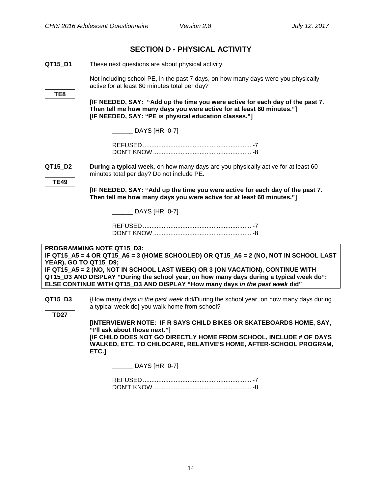<span id="page-16-1"></span><span id="page-16-0"></span>

|                        | <b>SECTION D - PHYSICAL ACTIVITY</b>                                                                                                                                                                                                                                                                                                                                           |
|------------------------|--------------------------------------------------------------------------------------------------------------------------------------------------------------------------------------------------------------------------------------------------------------------------------------------------------------------------------------------------------------------------------|
| QT15_D1                | These next questions are about physical activity.                                                                                                                                                                                                                                                                                                                              |
|                        | Not including school PE, in the past 7 days, on how many days were you physically<br>active for at least 60 minutes total per day?                                                                                                                                                                                                                                             |
| TE8                    | [IF NEEDED, SAY: "Add up the time you were active for each day of the past 7.<br>Then tell me how many days you were active for at least 60 minutes."]<br>[IF NEEDED, SAY: "PE is physical education classes."]                                                                                                                                                                |
|                        | DAYS [HR: 0-7]                                                                                                                                                                                                                                                                                                                                                                 |
|                        |                                                                                                                                                                                                                                                                                                                                                                                |
| QT15_D2<br><b>TE49</b> | During a typical week, on how many days are you physically active for at least 60<br>minutes total per day? Do not include PE.                                                                                                                                                                                                                                                 |
|                        | [IF NEEDED, SAY: "Add up the time you were active for each day of the past 7.<br>Then tell me how many days you were active for at least 60 minutes."]                                                                                                                                                                                                                         |
|                        | DAYS [HR: 0-7]                                                                                                                                                                                                                                                                                                                                                                 |
|                        |                                                                                                                                                                                                                                                                                                                                                                                |
| YEAR), GO TO QT15_D9;  | PROGRAMMING NOTE QT15 D3:<br>IF QT15_A5 = 4 OR QT15_A6 = 3 (HOME SCHOOLED) OR QT15_A6 = 2 (NO, NOT IN SCHOOL LAST<br>IF QT15_A5 = 2 (NO, NOT IN SCHOOL LAST WEEK) OR 3 (ON VACATION), CONTINUE WITH<br>QT15_D3 AND DISPLAY "During the school year, on how many days during a typical week do";<br>ELSE CONTINUE WITH QT15_D3 AND DISPLAY "How many days in the past week did" |
| QT15 D3                | {How many days in the past week did/During the school year, on how many days during<br>a typical week do} you walk home from school?                                                                                                                                                                                                                                           |
| <b>TD27</b>            | [INTERVIEWER NOTE: IF R SAYS CHILD BIKES OR SKATEBOARDS HOME, SAY,<br>"I'll ask about those next."]<br>[IF CHILD DOES NOT GO DIRECTLY HOME FROM SCHOOL, INCLUDE # OF DAYS<br>WALKED, ETC. TO CHILDCARE, RELATIVE'S HOME, AFTER-SCHOOL PROGRAM,<br>ETC.]                                                                                                                        |
|                        | $DAYS$ [HR: 0-7]                                                                                                                                                                                                                                                                                                                                                               |
|                        |                                                                                                                                                                                                                                                                                                                                                                                |

<span id="page-16-2"></span>DON'T KNOW......................................................... -8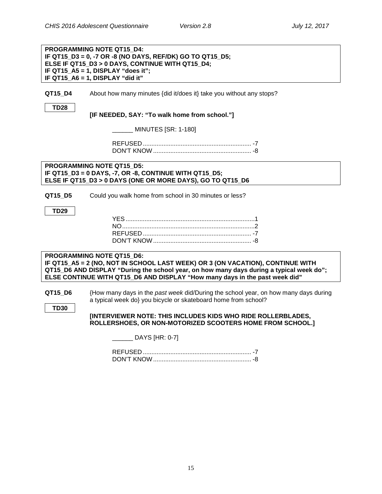|                        | PROGRAMMING NOTE QT15 D4:<br>IF QT15_D3 = 0, -7 OR -8 (NO DAYS, REF/DK) GO TO QT15_D5;<br>ELSE IF QT15_D3 > 0 DAYS, CONTINUE WITH QT15_D4;<br>IF QT15_A5 = 1, DISPLAY "does it";<br>IF QT15 A6 = 1, DISPLAY "did it"                                                                   |
|------------------------|----------------------------------------------------------------------------------------------------------------------------------------------------------------------------------------------------------------------------------------------------------------------------------------|
| QT15 D4<br><b>TD28</b> | About how many minutes {did it/does it} take you without any stops?                                                                                                                                                                                                                    |
|                        | [IF NEEDED, SAY: "To walk home from school."]                                                                                                                                                                                                                                          |
|                        | _ MINUTES [SR: 1-180]                                                                                                                                                                                                                                                                  |
|                        |                                                                                                                                                                                                                                                                                        |
|                        | <b>PROGRAMMING NOTE QT15 D5:</b><br>IF QT15_D3 = 0 DAYS, -7, OR -8, CONTINUE WITH QT15_D5;<br>ELSE IF QT15_D3 > 0 DAYS (ONE OR MORE DAYS), GO TO QT15_D6                                                                                                                               |
| QT15 D5                | Could you walk home from school in 30 minutes or less?                                                                                                                                                                                                                                 |
| <b>TD29</b>            |                                                                                                                                                                                                                                                                                        |
|                        | PROGRAMMING NOTE QT15 D6:<br>IF QT15_A5 = 2 (NO, NOT IN SCHOOL LAST WEEK) OR 3 (ON VACATION), CONTINUE WITH<br>QT15_D6 AND DISPLAY "During the school year, on how many days during a typical week do";<br>ELSE CONTINUE WITH QT15_D6 AND DISPLAY "How many days in the past week did" |
| QT15 D6<br><b>TD30</b> | {How many days in the past week did/During the school year, on how many days during<br>a typical week do} you bicycle or skateboard home from school?                                                                                                                                  |
|                        | [INTERVIEWER NOTE: THIS INCLUDES KIDS WHO RIDE ROLLERBLADES,<br>ROLLERSHOES, OR NON-MOTORIZED SCOOTERS HOME FROM SCHOOL.]                                                                                                                                                              |
|                        | _ DAYS [HR: 0-7]                                                                                                                                                                                                                                                                       |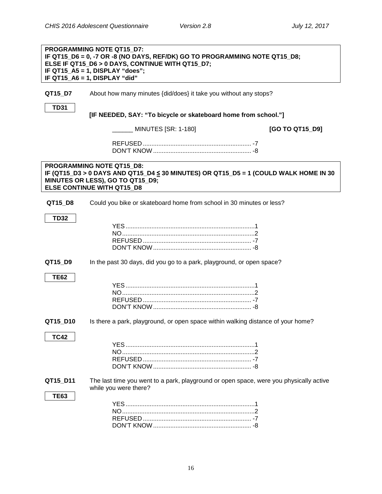<span id="page-18-1"></span><span id="page-18-0"></span>

|             | <b>PROGRAMMING NOTE QT15 D7:</b><br>IF QT15_D6 = 0, -7 OR -8 (NO DAYS, REF/DK) GO TO PROGRAMMING NOTE QT15_D8;<br>ELSE IF QT15_D6 > 0 DAYS, CONTINUE WITH QT15_D7;<br>IF QT15_A5 = 1, DISPLAY "does";<br>IF QT15_A6 = 1, DISPLAY "did" |                 |
|-------------|----------------------------------------------------------------------------------------------------------------------------------------------------------------------------------------------------------------------------------------|-----------------|
| QT15_D7     | About how many minutes {did/does} it take you without any stops?                                                                                                                                                                       |                 |
| <b>TD31</b> | [IF NEEDED, SAY: "To bicycle or skateboard home from school."]                                                                                                                                                                         |                 |
|             | MINUTES [SR: 1-180]                                                                                                                                                                                                                    | [GO TO QT15_D9] |
|             |                                                                                                                                                                                                                                        |                 |
|             | PROGRAMMING NOTE QT15 D8:<br>IF (QT15_D3 > 0 DAYS AND QT15_D4 ≤ 30 MINUTES) OR QT15_D5 = 1 (COULD WALK HOME IN 30<br>MINUTES OR LESS), GO TO QT15_D9;<br><b>ELSE CONTINUE WITH QT15 D8</b>                                             |                 |
| QT15_D8     | Could you bike or skateboard home from school in 30 minutes or less?                                                                                                                                                                   |                 |
| <b>TD32</b> |                                                                                                                                                                                                                                        |                 |
|             |                                                                                                                                                                                                                                        |                 |
|             |                                                                                                                                                                                                                                        |                 |
|             |                                                                                                                                                                                                                                        |                 |
| QT15_D9     | In the past 30 days, did you go to a park, playground, or open space?                                                                                                                                                                  |                 |
| <b>TE62</b> |                                                                                                                                                                                                                                        |                 |
|             |                                                                                                                                                                                                                                        |                 |
|             |                                                                                                                                                                                                                                        |                 |
|             |                                                                                                                                                                                                                                        |                 |
| QT15_D10    | Is there a park, playground, or open space within walking distance of your home?                                                                                                                                                       |                 |
| TC42        |                                                                                                                                                                                                                                        |                 |
|             |                                                                                                                                                                                                                                        |                 |
|             |                                                                                                                                                                                                                                        |                 |
|             |                                                                                                                                                                                                                                        |                 |
| QT15_D11    | The last time you went to a park, playground or open space, were you physically active<br>while you were there?                                                                                                                        |                 |
| <b>TE63</b> |                                                                                                                                                                                                                                        |                 |
|             |                                                                                                                                                                                                                                        |                 |
|             |                                                                                                                                                                                                                                        |                 |
|             |                                                                                                                                                                                                                                        |                 |
|             |                                                                                                                                                                                                                                        |                 |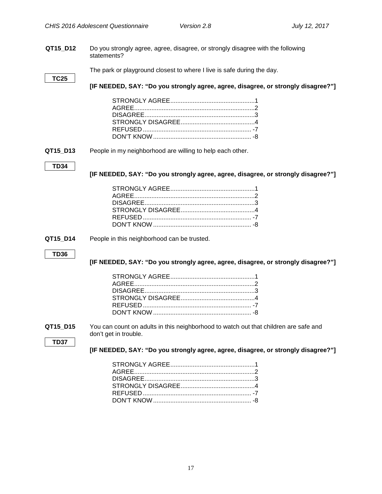**QT15\_D12** Do you strongly agree, agree, disagree, or strongly disagree with the following statements?

The park or playground closest to where I live is safe during the day.

#### **TC25**

**[IF NEEDED, SAY: "Do you strongly agree, agree, disagree, or strongly disagree?"]**

<span id="page-19-0"></span>**QT15\_D13** People in my neighborhood are willing to help each other.

#### **TD34**

**[IF NEEDED, SAY: "Do you strongly agree, agree, disagree, or strongly disagree?"]**

**QT15 D14** People in this neighborhood can be trusted.

#### **TD36**

**[IF NEEDED, SAY: "Do you strongly agree, agree, disagree, or strongly disagree?"]**

**QT15** D15 You can count on adults in this neighborhood to watch out that children are safe and don't get in trouble.

**TD37**

**[IF NEEDED, SAY: "Do you strongly agree, agree, disagree, or strongly disagree?"]**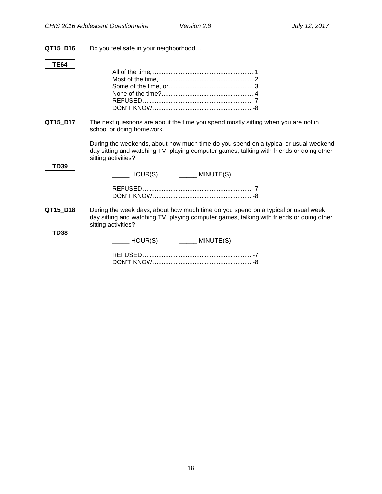**QT15\_D16** Do you feel safe in your neighborhood…

### **TE64**

<span id="page-20-0"></span>

| QT15_D17    | The next questions are about the time you spend mostly sitting when you are not in<br>school or doing homework.                                                                                        |
|-------------|--------------------------------------------------------------------------------------------------------------------------------------------------------------------------------------------------------|
| <b>TD39</b> | During the weekends, about how much time do you spend on a typical or usual weekend<br>day sitting and watching TV, playing computer games, talking with friends or doing other<br>sitting activities? |
|             |                                                                                                                                                                                                        |
| QT15 D18    | During the week days, about how much time do you spend on a typical or usual week<br>day sitting and watching TV, playing computer games, talking with friends or doing other<br>sitting activities?   |
| <b>TD38</b> | $\begin{array}{ccc} \hline \end{array}$ HOUR(S) $\begin{array}{ccc} \hline \end{array}$ MINUTE(S)                                                                                                      |
|             |                                                                                                                                                                                                        |
|             |                                                                                                                                                                                                        |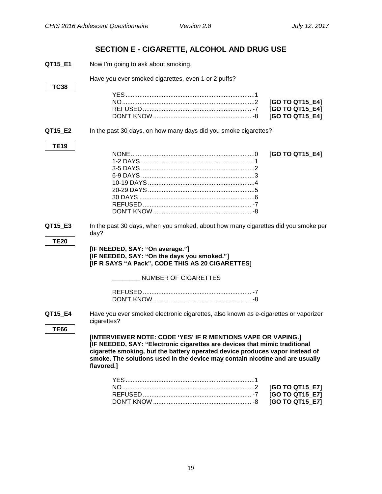## **SECTION E - CIGARETTE, ALCOHOL AND DRUG USE**

<span id="page-21-2"></span><span id="page-21-1"></span><span id="page-21-0"></span>

| QT15_E1                | Now I'm going to ask about smoking.                                                                                                                                                                                             |                 |
|------------------------|---------------------------------------------------------------------------------------------------------------------------------------------------------------------------------------------------------------------------------|-----------------|
|                        | Have you ever smoked cigarettes, even 1 or 2 puffs?                                                                                                                                                                             |                 |
| <b>TC38</b>            |                                                                                                                                                                                                                                 |                 |
|                        |                                                                                                                                                                                                                                 |                 |
|                        |                                                                                                                                                                                                                                 | [GO TO QT15 E4] |
|                        |                                                                                                                                                                                                                                 | [GO TO QT15_E4] |
|                        |                                                                                                                                                                                                                                 | [GO TO QT15_E4] |
| QT15_E2                | In the past 30 days, on how many days did you smoke cigarettes?                                                                                                                                                                 |                 |
|                        |                                                                                                                                                                                                                                 |                 |
| <b>TE19</b>            |                                                                                                                                                                                                                                 |                 |
|                        |                                                                                                                                                                                                                                 | [GO TO QT15_E4] |
|                        |                                                                                                                                                                                                                                 |                 |
|                        |                                                                                                                                                                                                                                 |                 |
|                        |                                                                                                                                                                                                                                 |                 |
|                        |                                                                                                                                                                                                                                 |                 |
|                        |                                                                                                                                                                                                                                 |                 |
|                        |                                                                                                                                                                                                                                 |                 |
|                        |                                                                                                                                                                                                                                 |                 |
|                        |                                                                                                                                                                                                                                 |                 |
| QT15_E3<br><b>TE20</b> | In the past 30 days, when you smoked, about how many cigarettes did you smoke per<br>day?<br>[IF NEEDED, SAY: "On average."]<br>[IF NEEDED, SAY: "On the days you smoked."]<br>[IF R SAYS "A Pack", CODE THIS AS 20 CIGARETTES] |                 |
|                        | <b>NUMBER OF CIGARETTES</b>                                                                                                                                                                                                     |                 |
|                        |                                                                                                                                                                                                                                 |                 |
|                        |                                                                                                                                                                                                                                 |                 |
|                        |                                                                                                                                                                                                                                 |                 |
| QT15_E4                | Have you ever smoked electronic cigarettes, also known as e-cigarettes or vaporizer<br>cigarettes?                                                                                                                              |                 |
|                        |                                                                                                                                                                                                                                 |                 |
| <b>TE66</b>            |                                                                                                                                                                                                                                 |                 |
|                        | [INTERVIEWER NOTE: CODE 'YES' IF R MENTIONS VAPE OR VAPING.]                                                                                                                                                                    |                 |
|                        | [IF NEEDED, SAY: "Electronic cigarettes are devices that mimic traditional                                                                                                                                                      |                 |
|                        | cigarette smoking, but the battery operated device produces vapor instead of                                                                                                                                                    |                 |
|                        | smoke. The solutions used in the device may contain nicotine and are usually                                                                                                                                                    |                 |
|                        | flavored.]                                                                                                                                                                                                                      |                 |
|                        |                                                                                                                                                                                                                                 |                 |
|                        |                                                                                                                                                                                                                                 |                 |
|                        |                                                                                                                                                                                                                                 | [GO TO QT15_E7] |
|                        |                                                                                                                                                                                                                                 | [GO TO QT15 E7] |
|                        |                                                                                                                                                                                                                                 | [GO TO QT15_E7] |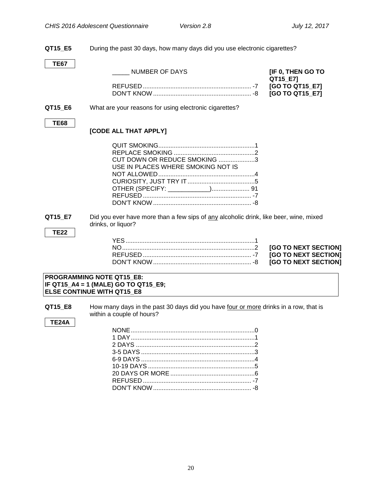**QT15\_E5** During the past 30 days, how many days did you use electronic cigarettes?

**TE67**

| NUMBER OF DAYS | [IF 0, THEN GO TO |
|----------------|-------------------|
|                | QT15_E7]          |

| [GO TO QT15_E7] |
|-----------------|
| [GO TO QT15_E7] |

#### **QT15\_E6** What are your reasons for using electronic cigarettes?

#### **TE68**

#### **[CODE ALL THAT APPLY]**

| CUT DOWN OR REDUCE SMOKING 3       |  |
|------------------------------------|--|
| USE IN PLACES WHERE SMOKING NOT IS |  |
|                                    |  |
|                                    |  |
|                                    |  |
|                                    |  |
|                                    |  |

<span id="page-22-0"></span>**QT15\_E7** Did you ever have more than a few sips of any alcoholic drink, like beer, wine, mixed drinks, or liquor?

#### **TE22**

**IGO TO NEXT SECTION] IGO TO NEXT SECTION]** [GO TO NEXT SECTION]

#### **PROGRAMMING NOTE QT15\_E8: IF QT15\_A4 = 1 (MALE) GO TO QT15\_E9; ELSE CONTINUE WITH QT15\_E8**

**QT15\_E8** How many days in the past 30 days did you have four or more drinks in a row, that is within a couple of hours?

#### **TE24A**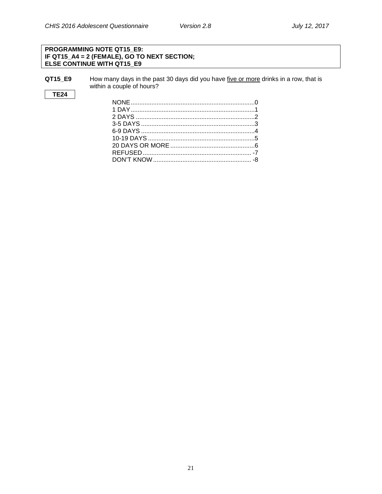#### **PROGRAMMING NOTE QT15\_E9: IF QT15\_A4 = 2 (FEMALE), GO TO NEXT SECTION; ELSE CONTINUE WITH QT15\_E9**

**QT15\_E9** How many days in the past 30 days did you have five or more drinks in a row, that is within a couple of hours?

#### **TE24**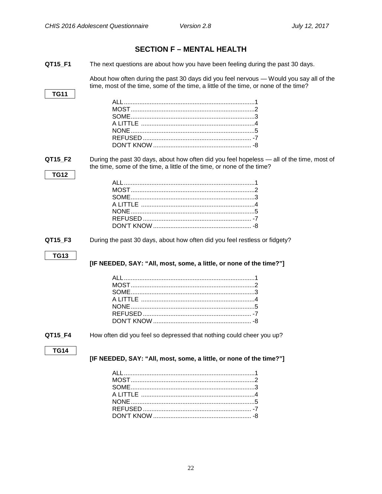#### <span id="page-24-1"></span><span id="page-24-0"></span>**SECTION F - MENTAL HEALTH** QT15 F1 The next questions are about how you have been feeling during the past 30 days. About how often during the past 30 days did you feel nervous — Would you say all of the time, most of the time, some of the time, a little of the time, or none of the time? **TG11** QT15 F2 During the past 30 days, about how often did you feel hopeless — all of the time, most of the time, some of the time, a little of the time, or none of the time? **TG12** QT15 F3 During the past 30 days, about how often did you feel restless or fidgety? **TG13** [IF NEEDED, SAY: "All, most, some, a little, or none of the time?"] QT15 F4 How often did you feel so depressed that nothing could cheer you up? **TG14** [IF NEEDED, SAY: "All, most, some, a little, or none of the time?"]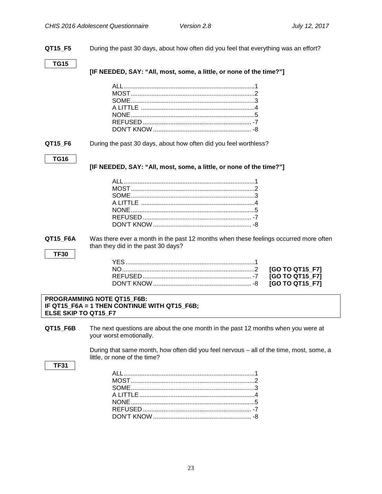**QT15\_F5** During the past 30 days, about how often did you feel that everything was an effort?

**TG15**

**[IF NEEDED, SAY: "All, most, some, a little, or none of the time?"]**

#### **QT15\_F6** During the past 30 days, about how often did you feel worthless?

**TG16**

**[IF NEEDED, SAY: "All, most, some, a little, or none of the time?"]**

<span id="page-25-0"></span>**QT15 F6A** Was there ever a month in the past 12 months when these feelings occurred more often than they did in the past 30 days?

**TF30** 

#### **PROGRAMMING NOTE QT15\_F6B: IF QT15\_F6A = 1 THEN CONTINUE WITH QT15\_F6B; ELSE SKIP TO QT15\_F7**

**QT15\_F6B** The next questions are about the one month in the past 12 months when you were at your worst emotionally.

> During that same month, how often did you feel nervous – all of the time, most, some, a little, or none of the time?

#### **TF31**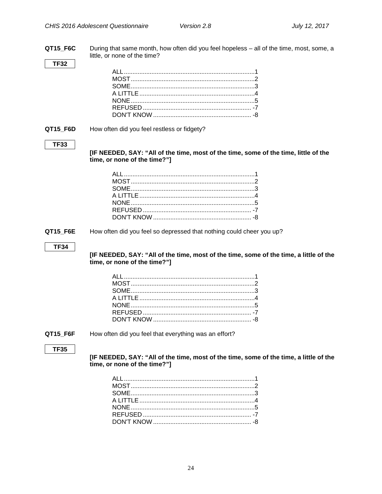QT15\_F6C During that same month, how often did you feel hopeless - all of the time, most, some, a little, or none of the time?

#### **TF32**

#### QT15\_F6D

How often did you feel restless or fidgety?

#### **TF33**

[IF NEEDED, SAY: "All of the time, most of the time, some of the time, little of the time, or none of the time?"]

QT15\_F6E How often did you feel so depressed that nothing could cheer you up?

#### **TF34**

[IF NEEDED, SAY: "All of the time, most of the time, some of the time, a little of the time, or none of the time?"]

QT15 F6F

How often did you feel that everything was an effort?

#### **TF35**

[IF NEEDED, SAY: "All of the time, most of the time, some of the time, a little of the time, or none of the time?"]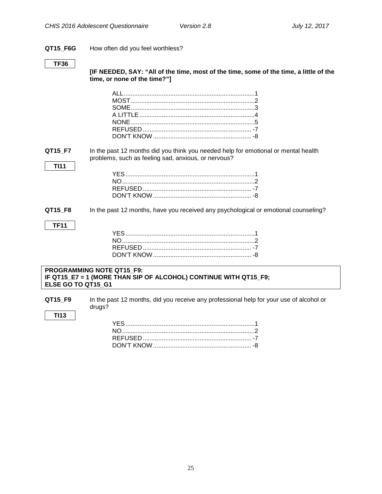#### **QT15\_F6G** How often did you feel worthless?

#### **TF36**

**TI11**

**TF11**

**TI13**

**[IF NEEDED, SAY: "All of the time, most of the time, some of the time, a little of the time, or none of the time?"]**

**QT15\_F7** In the past 12 months did you think you needed help for emotional or mental health problems, such as feeling sad, anxious, or nervous?

#### YES...........................................................................1 NO.............................................................................2 REFUSED ............................................................... -7 DON'T KNOW......................................................... -8

**QT15 F8** In the past 12 months, have you received any psychological or emotional counseling?

#### **PROGRAMMING NOTE QT15\_F9: IF QT15\_E7 = 1 (MORE THAN SIP OF ALCOHOL) CONTINUE WITH QT15\_F9; ELSE GO TO QT15\_G1**

**QT15 F9** In the past 12 months, did you receive any professional help for your use of alcohol or drugs?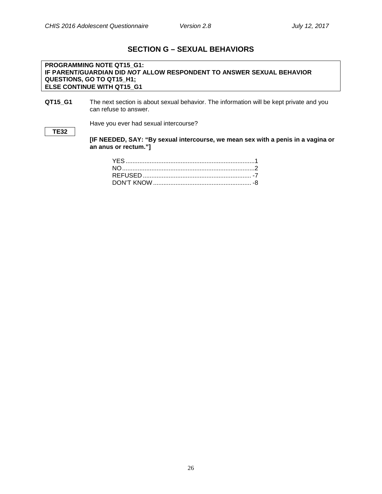### **SECTION G – SEXUAL BEHAVIORS**

#### <span id="page-28-0"></span>**PROGRAMMING NOTE QT15\_G1: IF PARENT/GUARDIAN DID** *NOT* **ALLOW RESPONDENT TO ANSWER SEXUAL BEHAVIOR QUESTIONS, GO TO QT15\_H1; ELSE CONTINUE WITH QT15\_G1**

**QT15\_G1** The next section is about sexual behavior. The information will be kept private and you can refuse to answer.

Have you ever had sexual intercourse?

**TE32**

**[IF NEEDED, SAY: "By sexual intercourse, we mean sex with a penis in a vagina or an anus or rectum."]**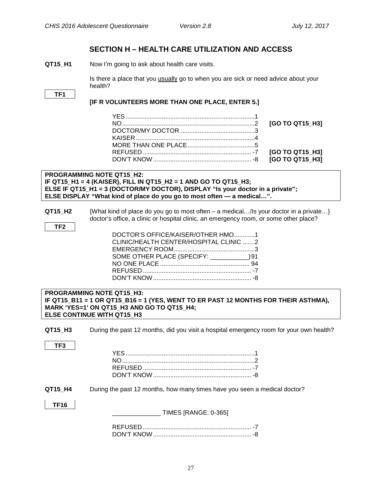### **SECTION H – HEALTH CARE UTILIZATION AND ACCESS**

<span id="page-29-1"></span><span id="page-29-0"></span>**QT15 H1** Now I'm going to ask about health care visits.

Is there a place that you usually go to when you are sick or need advice about your health?

```
TF1
```
#### **[IF R VOLUNTEERS MORE THAN ONE PLACE, ENTER 5.]**

#### **PROGRAMMING NOTE QT15\_H2: IF QT15\_H1 = 4 (KAISER), FILL IN QT15\_H2 = 1 AND GO TO QT15\_H3; ELSE IF QT15\_H1 = 3 (DOCTOR/MY DOCTOR), DISPLAY "Is your doctor in a private"; ELSE DISPLAY "What kind of place do you go to most often — a medical…".**

**QT15\_H2** {What kind of place do you go to most often – a medical…/Is your doctor in a private…} doctor's office, a clinic or hospital clinic, an emergency room, or some other place?

| DOCTOR'S OFFICE/KAISER/OTHER HMO1         |  |
|-------------------------------------------|--|
| CLINIC/HEALTH CENTER/HOSPITAL CLINIC 2    |  |
|                                           |  |
| SOME OTHER PLACE (SPECIFY: ___________)91 |  |
|                                           |  |
|                                           |  |
|                                           |  |
|                                           |  |

#### <span id="page-29-2"></span>**Emergency Room Visits PROGRAMMING NOTE QT15\_H3: IF QT15\_B11 = 1 OR QT15\_B16 = 1 (YES, WENT TO ER PAST 12 MONTHS FOR THEIR ASTHMA), MARK 'YES=1' ON QT15\_H3 AND GO TO QT15\_H4; ELSE CONTINUE WITH QT15\_H3**

**QT15 H3** During the past 12 months, did you visit a hospital emergency room for your own health?

| ۰.<br>× |
|---------|
|---------|

#### **QT15\_H4** During the past 12 months, how many times have you seen a medical doctor?

**TF16**

<span id="page-29-3"></span> $\_$  TIMES [RANGE: 0-365]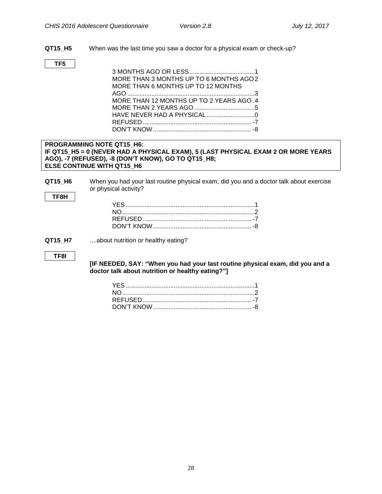**QT15\_H5** When was the last time you saw a doctor for a physical exam or check-up?

#### **TF5**

| MORE THAN 3 MONTHS UP TO 6 MONTHS AGO 2 |
|-----------------------------------------|
| MORE THAN 6 MONTHS UP TO 12 MONTHS      |
|                                         |
| MORE THAN 12 MONTHS UP TO 2 YEARS AGO 4 |
|                                         |
|                                         |
|                                         |
|                                         |

#### **PROGRAMMING NOTE QT15\_H6: IF QT15\_H5 = 0 (NEVER HAD A PHYSICAL EXAM), 5 (LAST PHYSICAL EXAM 2 OR MORE YEARS AGO), -7 (REFUSED), -8 (DON'T KNOW), GO TO QT15\_H8; ELSE CONTINUE WITH QT15\_H6**

**QT15\_H6** When you had your last routine physical exam, did you and a doctor talk about exercise or physical activity?

**TF8H**

<span id="page-30-0"></span>**Recall of Provider Advice**

#### **QT15\_H7** ....about nutrition or healthy eating?

#### **TF8I**

#### **[IF NEEDED, SAY: "When you had your last routine physical exam, did you and a doctor talk about nutrition or healthy eating?"]**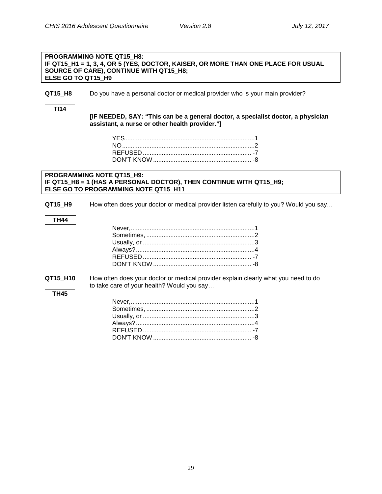#### **PROGRAMMING NOTE QT15\_H8: IF QT15\_H1 = 1, 3, 4, OR 5 (YES, DOCTOR, KAISER, OR MORE THAN ONE PLACE FOR USUAL SOURCE OF CARE), CONTINUE WITH QT15\_H8; ELSE GO TO QT15\_H9**

**QT15 H8** Do you have a personal doctor or medical provider who is your main provider?

**TI14**

<span id="page-31-0"></span>**Personal Doctor**

**[IF NEEDED, SAY: "This can be a general doctor, a specialist doctor, a physician assistant, a nurse or other health provider."]**

#### **PROGRAMMING NOTE QT15\_H9: IF QT15\_H8 = 1 (HAS A PERSONAL DOCTOR), THEN CONTINUE WITH QT15\_H9; ELSE GO TO PROGRAMMING NOTE QT15\_H11**

**QT15\_H9** How often does your doctor or medical provider listen carefully to you? Would you say…

#### **TH44**

<span id="page-31-1"></span>**Patient-Centered Care**

**QT15\_H10** How often does your doctor or medical provider explain clearly what you need to do to take care of your health? Would you say…

#### **TH45**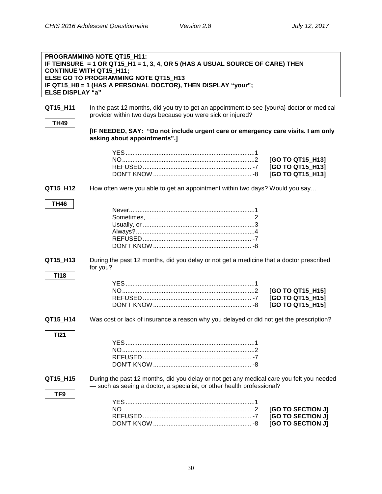<span id="page-32-0"></span>**Timely Appointments**

<span id="page-32-1"></span>

| <b>ELSE DISPLAY "a"</b> | <b>PROGRAMMING NOTE QT15 H11:</b><br>IF TEINSURE = 1 OR QT15_H1 = 1, 3, 4, OR 5 (HAS A USUAL SOURCE OF CARE) THEN<br><b>CONTINUE WITH QT15_H11;</b><br>ELSE GO TO PROGRAMMING NOTE QT15 H13<br>IF QT15_H8 = 1 (HAS A PERSONAL DOCTOR), THEN DISPLAY "your"; |                                                             |
|-------------------------|-------------------------------------------------------------------------------------------------------------------------------------------------------------------------------------------------------------------------------------------------------------|-------------------------------------------------------------|
| QT15_H11<br><b>TH49</b> | In the past 12 months, did you try to get an appointment to see {your/a} doctor or medical<br>provider within two days because you were sick or injured?                                                                                                    |                                                             |
|                         | [IF NEEDED, SAY: "Do not include urgent care or emergency care visits. I am only<br>asking about appointments".]                                                                                                                                            |                                                             |
|                         |                                                                                                                                                                                                                                                             | [GO TO QT15_H13]<br>[GO TO QT15_H13]<br>[GO TO QT15_H13]    |
| QT15_H12                | How often were you able to get an appointment within two days? Would you say                                                                                                                                                                                |                                                             |
| <b>TH46</b>             |                                                                                                                                                                                                                                                             |                                                             |
| QT15_H13                | During the past 12 months, did you delay or not get a medicine that a doctor prescribed<br>for you?                                                                                                                                                         |                                                             |
| <b>TI18</b>             |                                                                                                                                                                                                                                                             | [GO TO QT15_H15]<br>[GO TO QT15_H15]<br>[GO TO QT15_H15]    |
| QT15_H14                | Was cost or lack of insurance a reason why you delayed or did not get the prescription?                                                                                                                                                                     |                                                             |
| <b>TI21</b>             |                                                                                                                                                                                                                                                             |                                                             |
| QT15_H15                | During the past 12 months, did you delay or not get any medical care you felt you needed<br>- such as seeing a doctor, a specialist, or other health professional?                                                                                          |                                                             |
| TF9                     |                                                                                                                                                                                                                                                             | [GO TO SECTION J]<br>[GO TO SECTION J]<br>[GO TO SECTION J] |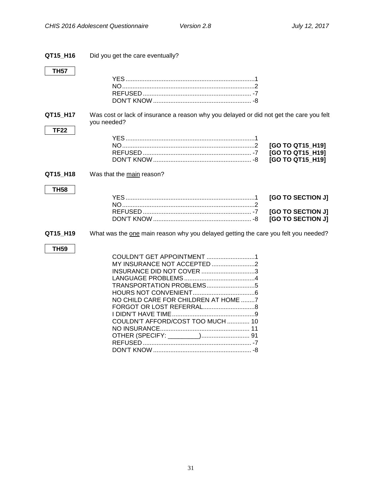| QT15 H16                | Did you get the care eventually?                                                                                                                                    |                                                             |
|-------------------------|---------------------------------------------------------------------------------------------------------------------------------------------------------------------|-------------------------------------------------------------|
| <b>TH57</b>             |                                                                                                                                                                     |                                                             |
| QT15_H17<br><b>TF22</b> | Was cost or lack of insurance a reason why you delayed or did not get the care you felt<br>you needed?                                                              |                                                             |
|                         |                                                                                                                                                                     | [GO TO QT15_H19]<br>[GO TO QT15_H19]<br>[GO TO QT15 H19]    |
| QT15_H18                | Was that the main reason?                                                                                                                                           |                                                             |
| <b>TH58</b>             |                                                                                                                                                                     | [GO TO SECTION J]<br>[GO TO SECTION J]<br>[GO TO SECTION J] |
| QT15_H19                | What was the one main reason why you delayed getting the care you felt you needed?                                                                                  |                                                             |
| <b>TH59</b>             | COULDN'T GET APPOINTMENT 1<br>MY INSURANCE NOT ACCEPTED 2<br>INSURANCE DID NOT COVER 3<br>NO CHILD CARE FOR CHILDREN AT HOME 7<br>COULDN'T AFFORD/COST TOO MUCH  10 |                                                             |

DON'T KNOW ......................................................... -8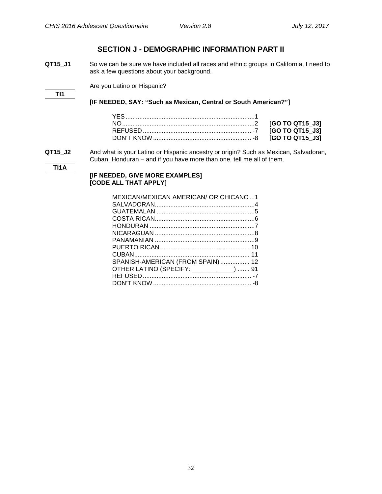**TI1A**

**TI1**

### **SECTION J - DEMOGRAPHIC INFORMATION PART II**

<span id="page-34-1"></span><span id="page-34-0"></span>**QT15\_J1** So we can be sure we have included all races and ethnic groups in California, I need to ask a few questions about your background.

Are you Latino or Hispanic?

#### **[IF NEEDED, SAY: "Such as Mexican, Central or South American?"]**

**QT15\_J2** And what is your Latino or Hispanic ancestry or origin? Such as Mexican, Salvadoran, Cuban, Honduran – and if you have more than one, tell me all of them.

#### **[IF NEEDED, GIVE MORE EXAMPLES] [CODE ALL THAT APPLY]**

| MEXICAN/MEXICAN AMERICAN/ OR CHICANO1   |  |
|-----------------------------------------|--|
|                                         |  |
|                                         |  |
|                                         |  |
|                                         |  |
|                                         |  |
|                                         |  |
|                                         |  |
|                                         |  |
| SPANISH-AMERICAN (FROM SPAIN) 12        |  |
| OTHER LATINO (SPECIFY: ___________)  91 |  |
|                                         |  |
|                                         |  |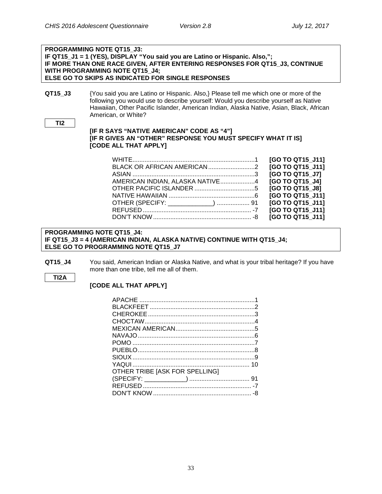#### **PROGRAMMING NOTE QT15\_J3: IF QT15\_J1 = 1 (YES), DISPLAY "You said you are Latino or Hispanic. Also,"; IF MORE THAN ONE RACE GIVEN, AFTER ENTERING RESPONSES FOR QT15\_J3, CONTINUE WITH PROGRAMMING NOTE QT15\_J4; ELSE GO TO SKIPS AS INDICATED FOR SINGLE RESPONSES**

**QT15 J3** {You said you are Latino or Hispanic. Also,} Please tell me which one or more of the following you would use to describe yourself: Would you describe yourself as Native Hawaiian, Other Pacific Islander, American Indian, Alaska Native, Asian, Black, African American, or White?

```
TI2
```
#### **[IF R SAYS "NATIVE AMERICAN" CODE AS "4"] [IF R GIVES AN "OTHER" RESPONSE YOU MUST SPECIFY WHAT IT IS] [CODE ALL THAT APPLY]**

|                                 | [GO TO QT15 J11] |
|---------------------------------|------------------|
|                                 | [GO TO QT15 J11] |
|                                 | [GO TO QT15 J7]  |
| AMERICAN INDIAN, ALASKA NATIVE4 | [GO TO QT15 J4]  |
|                                 | [GO TO QT15 J8]  |
|                                 | [GO TO QT15 J11] |
|                                 | [GO TO QT15_J11] |
|                                 | [GO TO QT15 J11] |
|                                 | [GO TO QT15 J11] |

#### **PROGRAMMING NOTE QT15\_J4: IF QT15\_J3 = 4 (AMERICAN INDIAN, ALASKA NATIVE) CONTINUE WITH QT15\_J4; ELSE GO TO PROGRAMMING NOTE QT15\_J7**

**QT15 J4** You said, American Indian or Alaska Native, and what is your tribal heritage? If you have more than one tribe, tell me all of them.

#### **TI2A**

#### **[CODE ALL THAT APPLY]**

| OTHER TRIBE [ASK FOR SPELLING] |  |
|--------------------------------|--|
|                                |  |
|                                |  |
|                                |  |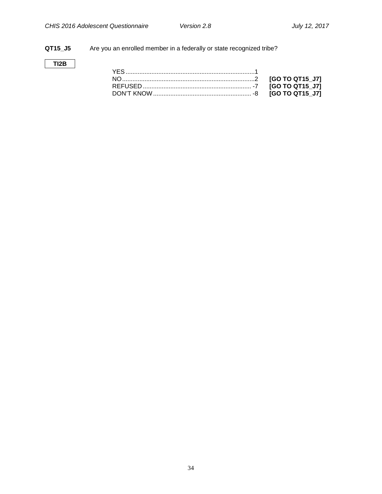### **QT15\_J5** Are you an enrolled member in a federally or state recognized tribe?

### **TI2B**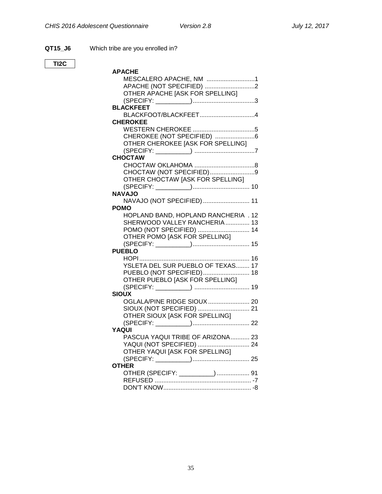**QT15\_J6** Which tribe are you enrolled in?

**TI2C**

| APACHE                               |  |
|--------------------------------------|--|
| MESCALERO APACHE, NM 1               |  |
| APACHE (NOT SPECIFIED) 2             |  |
| OTHER APACHE JASK FOR SPELLING]      |  |
|                                      |  |
| <b>BLACKFEET</b>                     |  |
| BLACKFOOT/BLACKFEET4                 |  |
| <b>CHEROKEE</b>                      |  |
|                                      |  |
| CHEROKEE (NOT SPECIFIED) 6           |  |
| OTHER CHEROKEE [ASK FOR SPELLING]    |  |
|                                      |  |
| <b>CHOCTAW</b>                       |  |
|                                      |  |
| CHOCTAW (NOT SPECIFIED)9             |  |
| OTHER CHOCTAW [ASK FOR SPELLING]     |  |
|                                      |  |
| <b>NAVAJO</b>                        |  |
| NAVAJO (NOT SPECIFIED)  11           |  |
| <b>POMO</b>                          |  |
| HOPLAND BAND, HOPLAND RANCHERIA . 12 |  |
| SHERWOOD VALLEY RANCHERIA 13         |  |
| POMO (NOT SPECIFIED)  14             |  |
| OTHER POMO [ASK FOR SPELLING]        |  |
|                                      |  |
| <b>PUEBLO</b>                        |  |
|                                      |  |
| YSLETA DEL SUR PUEBLO OF TEXAS 17    |  |
| PUEBLO (NOT SPECIFIED) 18            |  |
| OTHER PUEBLO [ASK FOR SPELLING]      |  |
|                                      |  |
| <b>SIOUX</b>                         |  |
| OGLALA/PINE RIDGE SIOUX  20          |  |
|                                      |  |
| OTHER SIOUX [ASK FOR SPELLING]       |  |
|                                      |  |
| YAQUI                                |  |
| PASCUA YAQUI TRIBE OF ARIZONA 23     |  |
| YAQUI (NOT SPECIFIED)  24            |  |
| OTHER YAQUI [ASK FOR SPELLING]       |  |
|                                      |  |
| <b>OTHER</b>                         |  |
| OTHER (SPECIFY: _________)  91       |  |
|                                      |  |
|                                      |  |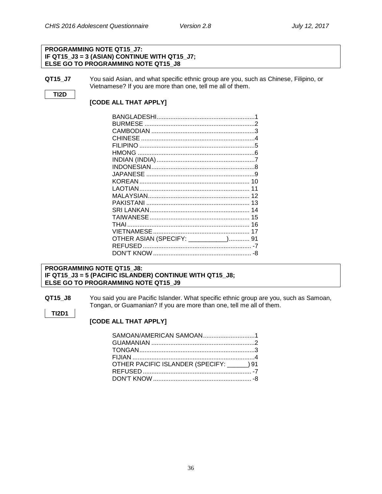#### **PROGRAMMING NOTE QT15\_J7: IF QT15\_J3 = 3 (ASIAN) CONTINUE WITH QT15\_J7; ELSE GO TO PROGRAMMING NOTE QT15\_J8**

**QT15\_J7** You said Asian, and what specific ethnic group are you, such as Chinese, Filipino, or Vietnamese? If you are more than one, tell me all of them.

#### **TI2D**

**TI2D1**

#### **[CODE ALL THAT APPLY]**

| OTHER ASIAN (SPECIFY: __________) 91 |  |
|--------------------------------------|--|
|                                      |  |
|                                      |  |

#### **PROGRAMMING NOTE QT15\_J8: IF QT15\_J3 = 5 (PACIFIC ISLANDER) CONTINUE WITH QT15\_J8; ELSE GO TO PROGRAMMING NOTE QT15\_J9**

**QT15\_J8** You said you are Pacific Islander. What specific ethnic group are you, such as Samoan, Tongan, or Guamanian? If you are more than one, tell me all of them.

#### **[CODE ALL THAT APPLY]**

| SAMOAN/AMERICAN SAMOAN1              |
|--------------------------------------|
|                                      |
|                                      |
|                                      |
| OTHER PACIFIC ISLANDER (SPECIFY: )91 |
|                                      |
|                                      |
|                                      |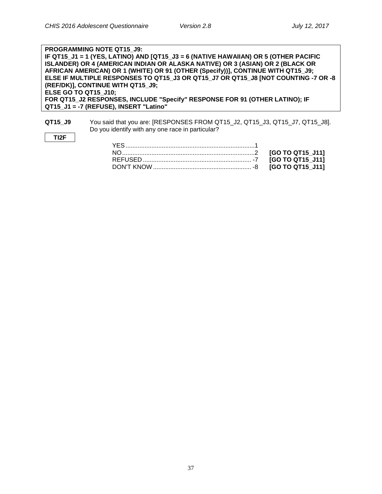**TI2F**

| <b>PROGRAMMING NOTE QT15 J9:</b>                                                    |
|-------------------------------------------------------------------------------------|
| IF QT15_J1 = 1 (YES, LATINO) AND [QT15_J3 = 6 (NATIVE HAWAIIAN) OR 5 (OTHER PACIFIC |
| ISLANDER) OR 4 (AMERICAN INDIAN OR ALASKA NATIVE) OR 3 (ASIAN) OR 2 (BLACK OR       |
| AFRICAN AMERICAN) OR 1 (WHITE) OR 91 (OTHER (Specify))], CONTINUE WITH QT15_J9;     |
| ELSE IF MULTIPLE RESPONSES TO QT15 J3 OR QT15 J7 OR QT15 J8 [NOT COUNTING -7 OR -8  |
| (REF/DK)], CONTINUE WITH QT15 J9;                                                   |
| <b>ELSE GO TO QT15 J10;</b>                                                         |
| FOR QT15 J2 RESPONSES, INCLUDE "Specify" RESPONSE FOR 91 (OTHER LATINO); IF         |
| QT15 J1 = -7 (REFUSE), INSERT "Latino"                                              |

**QT15\_J9** You said that you are: [RESPONSES FROM QT15\_J2, QT15\_J3, QT15\_J7, QT15\_J8]. Do you identify with any one race in particular?

37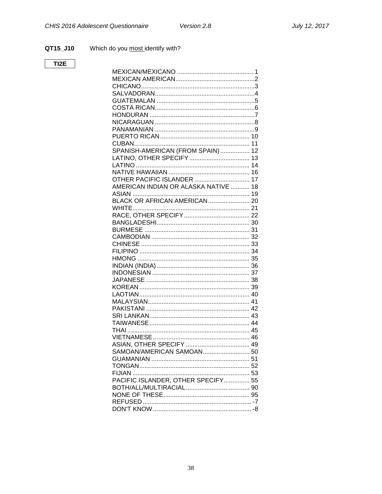QT15\_J10 Which do you most identify with?

### $T12E$

<span id="page-40-0"></span>

| SPANISH-AMERICAN (FROM SPAIN)  12    |  |
|--------------------------------------|--|
|                                      |  |
|                                      |  |
|                                      |  |
| <b>OTHER PACIFIC ISLANDER  17</b>    |  |
| AMERICAN INDIAN OR ALASKA NATIVE  18 |  |
|                                      |  |
|                                      |  |
|                                      |  |
|                                      |  |
|                                      |  |
|                                      |  |
|                                      |  |
|                                      |  |
|                                      |  |
|                                      |  |
|                                      |  |
|                                      |  |
|                                      |  |
|                                      |  |
|                                      |  |
|                                      |  |
|                                      |  |
|                                      |  |
|                                      |  |
|                                      |  |
|                                      |  |
|                                      |  |
|                                      |  |
|                                      |  |
|                                      |  |
|                                      |  |
| PACIFIC ISLANDER, OTHER SPECIFY 55   |  |
|                                      |  |
|                                      |  |
|                                      |  |
|                                      |  |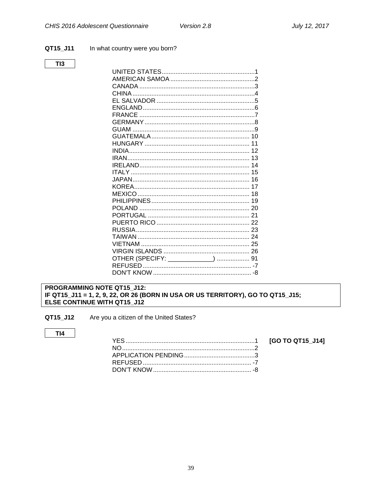#### QT15\_J11 In what country were you born?

#### $T13$

| GUAM                               |  |
|------------------------------------|--|
|                                    |  |
|                                    |  |
|                                    |  |
|                                    |  |
|                                    |  |
|                                    |  |
|                                    |  |
|                                    |  |
|                                    |  |
|                                    |  |
|                                    |  |
|                                    |  |
|                                    |  |
|                                    |  |
|                                    |  |
|                                    |  |
|                                    |  |
| OTHER (SPECIFY: _____________)  91 |  |
|                                    |  |
|                                    |  |

#### <span id="page-41-0"></span>PROGRAMMING NOTE QT15\_J12: IF QT15\_J11 = 1, 2, 9, 22, OR 26 (BORN IN USA OR US TERRITORY), GO TO QT15\_J15; ELSE CONTINUE WITH QT15\_J12

Are you a citizen of the United States? QT15\_J12

#### $TI4$

[GO TO QT15\_J14]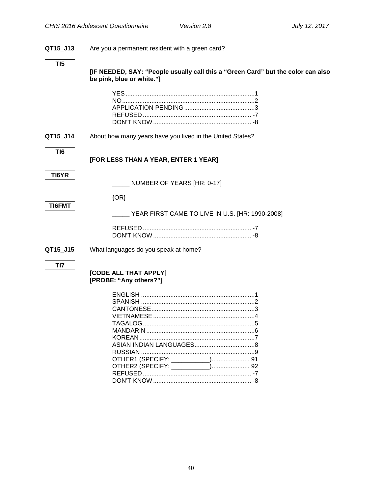#### **QT15\_J13** Are you a permanent resident with a green card?

**[IF NEEDED, SAY: "People usually call this a "Green Card" but the color can also be pink, blue or white."]**

**QT15\_J14** About how many years have you lived in the United States?

**TI6**

**[FOR LESS THAN A YEAR, ENTER 1 YEAR]**

**TI6YR**

\_\_\_\_\_ NUMBER OF YEARS [HR: 0-17]

| œ           |  |
|-------------|--|
| w<br>L<br>Ξ |  |
|             |  |

\_\_\_\_\_ YEAR FIRST CAME TO LIVE IN U.S. [HR: 1990-2008]

<span id="page-42-0"></span>**QT15\_J15** What languages do you speak at home?

{OR}

**TI7**

#### **[CODE ALL THAT APPLY] [PROBE: "Any others?"]**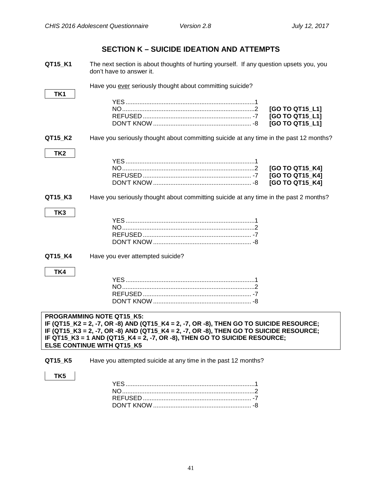### **SECTION K – SUICIDE IDEATION AND ATTEMPTS**

<span id="page-43-0"></span>**QT15\_K1** The next section is about thoughts of hurting yourself. If any question upsets you, you don't have to answer it.

|                 | Have you ever seriously thought about committing suicide?                                                                                                                                                |                                                       |
|-----------------|----------------------------------------------------------------------------------------------------------------------------------------------------------------------------------------------------------|-------------------------------------------------------|
| TK1             |                                                                                                                                                                                                          |                                                       |
|                 |                                                                                                                                                                                                          | [GO TO QT15_L1]<br>[GO TO QT15_L1]<br>[GO TO QT15_L1] |
| QT15_K2         | Have you seriously thought about committing suicide at any time in the past 12 months?                                                                                                                   |                                                       |
| TK <sub>2</sub> |                                                                                                                                                                                                          | [GO TO QT15_K4]<br>[GO TO QT15_K4]<br>[GO TO QT15_K4] |
| QT15_K3         | Have you seriously thought about committing suicide at any time in the past 2 months?                                                                                                                    |                                                       |
| TK3             |                                                                                                                                                                                                          |                                                       |
| QT15_K4         | Have you ever attempted suicide?                                                                                                                                                                         |                                                       |
| TK4             |                                                                                                                                                                                                          |                                                       |
|                 | PROGRAMMING NOTE QT15 K5:<br>IF (QT15_K2 = 2, -7, OR -8) AND (QT15_K4 = 2, -7, OR -8), THEN GO TO SUICIDE RESOURCE;                                                                                      |                                                       |
|                 | IF (QT15_K3 = 2, -7, OR -8) AND (QT15_K4 = 2, -7, OR -8), THEN GO TO SUICIDE RESOURCE;<br>IF QT15_K3 = 1 AND (QT15_K4 = 2, -7, OR -8), THEN GO TO SUICIDE RESOURCE;<br><b>ELSE CONTINUE WITH QT15 K5</b> |                                                       |
| QT15_K5         | Have you attempted suicide at any time in the past 12 months?                                                                                                                                            |                                                       |
| TK <sub>5</sub> |                                                                                                                                                                                                          |                                                       |

REFUSED ............................................................... -7 DON'T KNOW ......................................................... -8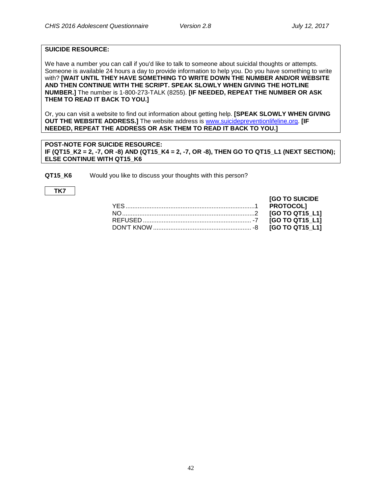#### **SUICIDE RESOURCE:**

We have a number you can call if you'd like to talk to someone about suicidal thoughts or attempts. Someone is available 24 hours a day to provide information to help you. Do you have something to write with? **[WAIT UNTIL THEY HAVE SOMETHING TO WRITE DOWN THE NUMBER AND/OR WEBSITE AND THEN CONTINUE WITH THE SCRIPT. SPEAK SLOWLY WHEN GIVING THE HOTLINE NUMBER.]** The number is 1-800-273-TALK (8255). **[IF NEEDED, REPEAT THE NUMBER OR ASK THEM TO READ IT BACK TO YOU.]**

Or, you can visit a website to find out information about getting help. **[SPEAK SLOWLY WHEN GIVING OUT THE WEBSITE ADDRESS.]** The website address is [www.suicidepreventionlifeline.org.](http://www.suicidepreventionlifeline.org/) **[IF NEEDED, REPEAT THE ADDRESS OR ASK THEM TO READ IT BACK TO YOU.]**

**POST-NOTE FOR SUICIDE RESOURCE: IF (QT15 K2 = 2, -7, OR -8) AND (QT15 K4 = 2, -7, OR -8), THEN GO TO QT15 L1 (NEXT SECTION); ELSE CONTINUE WITH QT15\_K6**

**QT15 K6** Would you like to discuss your thoughts with this person?

**TK7**

| <b>[GO TO SUICIDE</b> |
|-----------------------|
|                       |
|                       |
|                       |
|                       |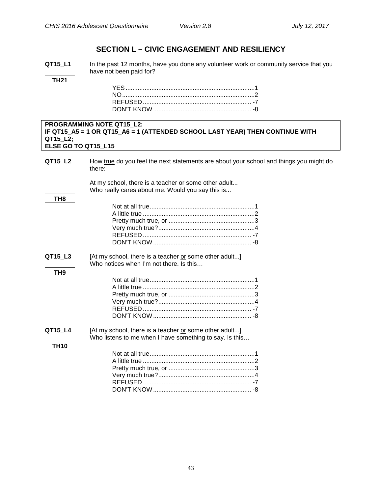**TH21**

**TH8**

**TH9**

### **SECTION L – CIVIC ENGAGEMENT AND RESILIENCY**

<span id="page-45-0"></span>**QT15 L1** In the past 12 months, have you done any volunteer work or community service that you have not been paid for?

#### **PROGRAMMING NOTE QT15\_L2: IF QT15\_A5 = 1 OR QT15\_A6 = 1 (ATTENDED SCHOOL LAST YEAR) THEN CONTINUE WITH QT15\_L2; ELSE GO TO QT15\_L15**

**QT15\_L2** How true do you feel the next statements are about your school and things you might do there:

> At my school, there is a teacher or some other adult... Who really cares about me. Would you say this is...

**QT15 L3** [At my school, there is a teacher or some other adult...] Who notices when I'm not there. Is this...

### **QT15\_L4** [At my school, there is a teacher or some other adult...] Who listens to me when I have something to say. Is this… **TH10**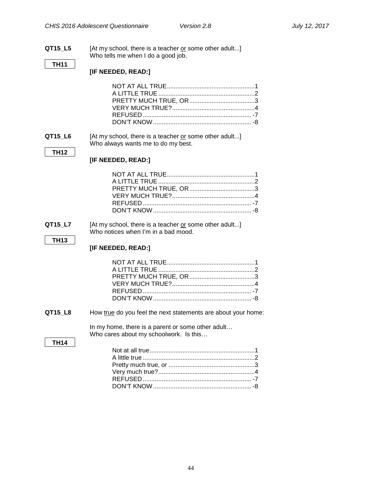### **QT15\_L5** [At my school, there is a teacher or some other adult...] Who tells me when I do a good job. **TH11 [IF NEEDED, READ:]** NOT AT ALL TRUE...................................................1 A LITTLE TRUE........................................................2 PRETTY MUCH TRUE, OR......................................3 VERY MUCH TRUE?................................................4 REFUSED ............................................................... -7 DON'T KNOW......................................................... -8 **QT15 L6** [At my school, there is a teacher or some other adult...] Who always wants me to do my best. **TH12 [IF NEEDED, READ:]** NOT AT ALL TRUE...................................................1 A LITTLE TRUE........................................................2 PRETTY MUCH TRUE, OR......................................3 VERY MUCH TRUE?................................................4 REFUSED ............................................................... -7 DON'T KNOW......................................................... -8 **QT15 L7** [At my school, there is a teacher or some other adult...] Who notices when I'm in a bad mood. **TH13 [IF NEEDED, READ:]** NOT AT ALL TRUE...................................................1 A LITTLE TRUE........................................................2 PRETTY MUCH TRUE, OR......................................3 VERY MUCH TRUE?................................................4 REFUSED ............................................................... -7 DON'T KNOW......................................................... -8 **QT15\_L8** How true do you feel the next statements are about your home: In my home, there is a parent or some other adult… Who cares about my schoolwork. Is this… **TH14** Not at all true.............................................................1 A little true .................................................................2 Pretty much true, or ..................................................3 Very much true?........................................................4 REFUSED ............................................................... -7 DON'T KNOW......................................................... -8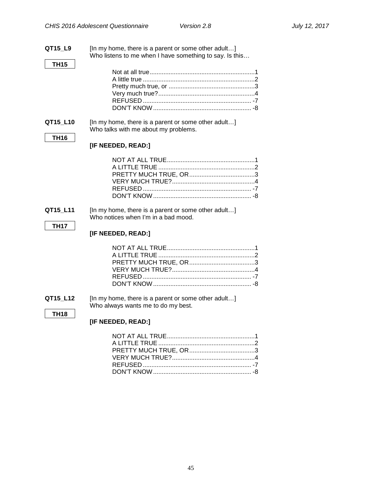| QT15 L9     | [In my home, there is a parent or some other adult]<br>Who listens to me when I have something to say. Is this |
|-------------|----------------------------------------------------------------------------------------------------------------|
| <b>TH15</b> |                                                                                                                |
|             |                                                                                                                |
|             |                                                                                                                |
|             |                                                                                                                |
|             |                                                                                                                |
|             |                                                                                                                |
|             |                                                                                                                |
| QT15_L10    | [In my home, there is a parent or some other adult]                                                            |
|             | Who talks with me about my problems.                                                                           |
| <b>TH16</b> |                                                                                                                |
|             | [IF NEEDED, READ:]                                                                                             |
|             |                                                                                                                |
|             |                                                                                                                |
|             |                                                                                                                |
|             |                                                                                                                |
|             |                                                                                                                |
|             |                                                                                                                |
| QT15_L11    | [In my home, there is a parent or some other adult]                                                            |
|             | Who notices when I'm in a bad mood.                                                                            |
| <b>TH17</b> | [IF NEEDED, READ:]                                                                                             |
|             |                                                                                                                |
|             |                                                                                                                |
|             |                                                                                                                |
|             |                                                                                                                |
|             |                                                                                                                |
|             |                                                                                                                |
| QT15_L12    | [In my home, there is a parent or some other adult]                                                            |
|             | Who always wants me to do my best.                                                                             |
| <b>TH18</b> |                                                                                                                |
|             | [IF NEEDED, READ:]                                                                                             |
|             |                                                                                                                |
|             |                                                                                                                |
|             |                                                                                                                |
|             |                                                                                                                |
|             |                                                                                                                |
|             |                                                                                                                |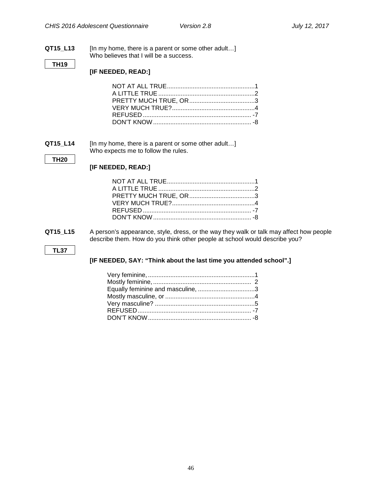#### **QT15\_L13** [In my home, there is a parent or some other adult…] Who believes that I will be a success.

#### **TH19**

**[IF NEEDED, READ:]**

**QT15\_L14** [In my home, there is a parent or some other adult…] Who expects me to follow the rules.

#### **TH20**

#### **[IF NEEDED, READ:]**

**QT15\_L15** A person's appearance, style, dress, or the way they walk or talk may affect how people describe them. How do you think other people at school would describe you?

#### **TL37**

#### **[IF NEEDED, SAY: "Think about the last time you attended school".]**